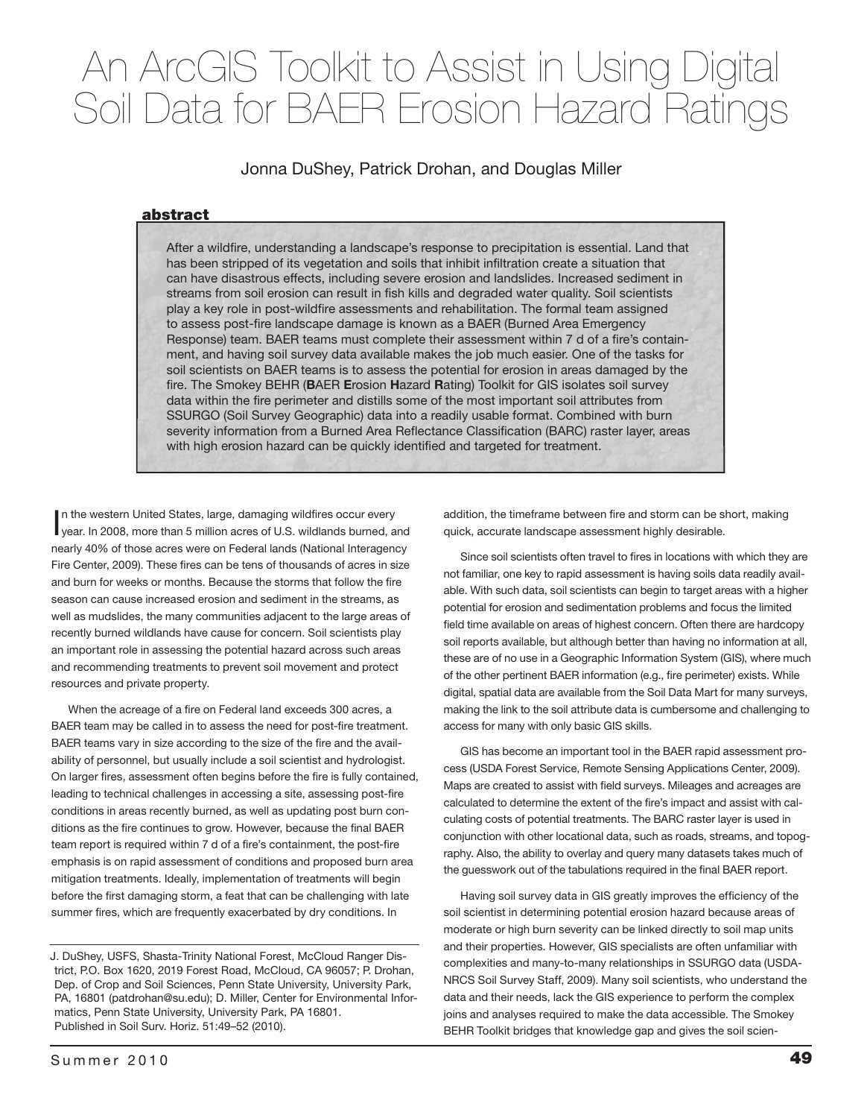# An ArcGIS Toolkit to Assist in Using Digital Soil Data for BAER Erosion Hazard Ratings

Jonna DuShey, Patrick Drohan, and Douglas Miller

# abstract

After a wildfire, understanding a landscape's response to precipitation is essential. Land that has been stripped of its vegetation and soils that inhibit infiltration create a situation that can have disastrous effects, including severe erosion and landslides. Increased sediment in streams from soil erosion can result in fish kills and degraded water quality. Soil scientists play a key role in post-wildfire assessments and rehabilitation. The formal team assigned to assess post-fire landscape damage is known as a BAER (Burned Area Emergency Response) team. BAER teams must complete their assessment within 7 d of a fire's containment, and having soil survey data available makes the job much easier. One of the tasks for soil scientists on BAER teams is to assess the potential for erosion in areas damaged by the fire. The Smokey BEHR (BAER Erosion Hazard Rating) Toolkit for GIS isolates soil survey data within the fire perimeter and distills some of the most important soil attributes from SSURGO (Soil Survey Geographic) data into a readily usable format. Combined with burn severity information from a Burned Area Reflectance Classification (BARC) raster layer, areas with high erosion hazard can be quickly identified and targeted for treatment.

In the western United States, large, damaging wildfires occur every<br>year. In 2008, more than 5 million acres of U.S. wildlands burned, and n the western United States, large, damaging wildfires occur every nearly 40% of those acres were on Federal lands (National Interagency Fire Center, 2009). These fires can be tens of thousands of acres in size and burn for weeks or months. Because the storms that follow the fire season can cause increased erosion and sediment in the streams, as well as mudslides, the many communities adjacent to the large areas of recently burned wildlands have cause for concern. Soil scientists play an important role in assessing the potential hazard across such areas and recommending treatments to prevent soil movement and protect resources and private property.

When the acreage of a fire on Federal land exceeds 300 acres, a BAER team may be called in to assess the need for post-fire treatment. BAER teams vary in size according to the size of the fire and the availability of personnel, but usually include a soil scientist and hydrologist. On larger fires, assessment often begins before the fire is fully contained, leading to technical challenges in accessing a site, assessing post-fire conditions in areas recently burned, as well as updating post burn conditions as the fire continues to grow. However, because the final BAER team report is required within 7 d of a fire's containment, the post-fire emphasis is on rapid assessment of conditions and proposed burn area mitigation treatments. Ideally, implementation of treatments will begin before the first damaging storm, a feat that can be challenging with late summer fires, which are frequently exacerbated by dry conditions. In

J. DuShey, USFS, Shasta-Trinity National Forest, McCloud Ranger District, P.O. Box 1620, 2019 Forest Road, McCloud, CA 96057; P. Drohan, Dep. of Crop and Soil Sciences, Penn State University, University Park, PA, 16801 (patdrohan@su.edu); D. Miller, Center for Environmental Informatics, Penn State University, University Park, PA 16801. Published in Soil Surv. Horiz. 51:49–52 (2010).

addition, the timeframe between fire and storm can be short, making quick, accurate landscape assessment highly desirable.

Since soil scientists often travel to fires in locations with which they are not familiar, one key to rapid assessment is having soils data readily available. With such data, soil scientists can begin to target areas with a higher potential for erosion and sedimentation problems and focus the limited field time available on areas of highest concern. Often there are hardcopy soil reports available, but although better than having no information at all, these are of no use in a Geographic Information System (GIS), where much of the other pertinent BAER information (e.g., fire perimeter) exists. While digital, spatial data are available from the Soil Data Mart for many surveys, making the link to the soil attribute data is cumbersome and challenging to access for many with only basic GIS skills.

GIS has become an important tool in the BAER rapid assessment process (USDA Forest Service, Remote Sensing Applications Center, 2009). Maps are created to assist with field surveys. Mileages and acreages are calculated to determine the extent of the fire's impact and assist with calculating costs of potential treatments. The BARC raster layer is used in conjunction with other locational data, such as roads, streams, and topography. Also, the ability to overlay and query many datasets takes much of the guesswork out of the tabulations required in the final BAER report.

Having soil survey data in GIS greatly improves the efficiency of the soil scientist in determining potential erosion hazard because areas of moderate or high burn severity can be linked directly to soil map units and their properties. However, GIS specialists are often unfamiliar with complexities and many-to-many relationships in SSURGO data (USDA-NRCS Soil Survey Staff, 2009). Many soil scientists, who understand the data and their needs, lack the GIS experience to perform the complex joins and analyses required to make the data accessible. The Smokey BEHR Toolkit bridges that knowledge gap and gives the soil scien-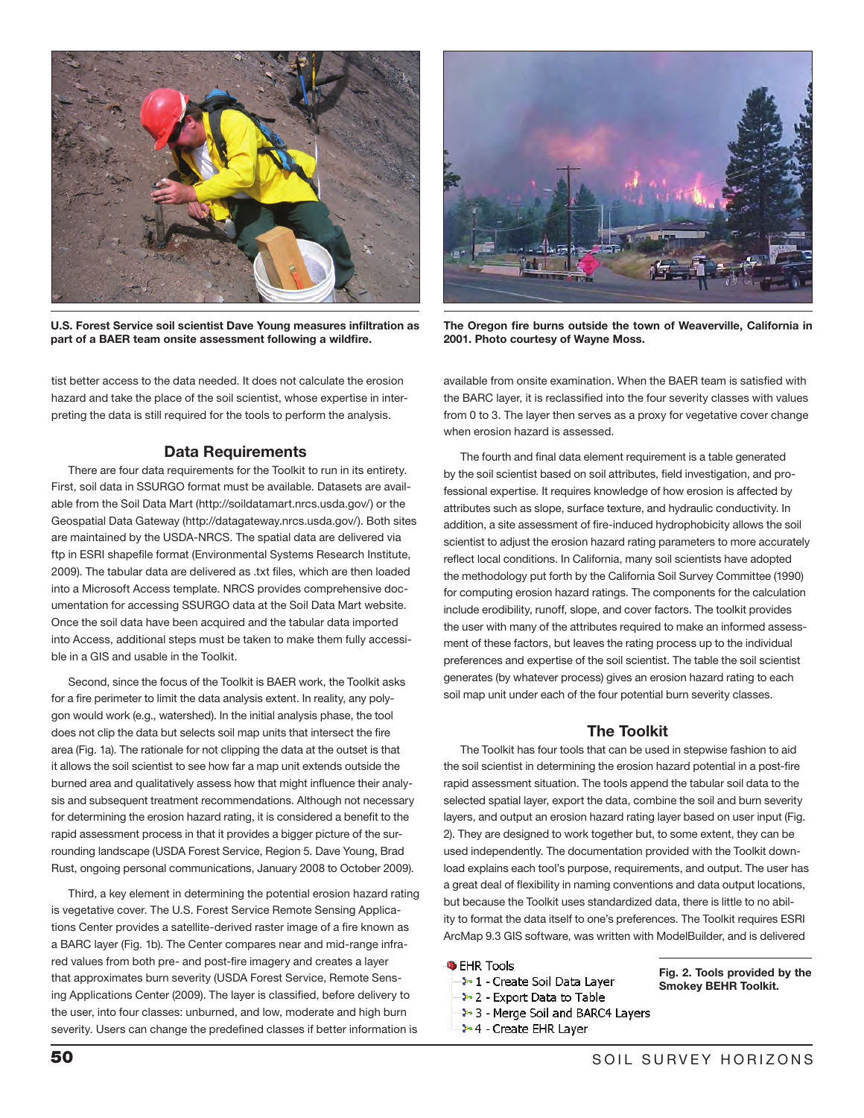

U.S. Forest Service soil scientist Dave Young measures infiltration as part of a BAER team onsite assessment following a wildfire.

tist better access to the data needed. It does not calculate the erosion hazard and take the place of the soil scientist, whose expertise in interpreting the data is still required for the tools to perform the analysis.

# Data Requirements

There are four data requirements for the Toolkit to run in its entirety. First, soil data in SSURGO format must be available. Datasets are available from the Soil Data Mart (http://soildatamart.nrcs.usda.gov/) or the Geospatial Data Gateway (http://datagateway.nrcs.usda.gov/). Both sites are maintained by the USDA-NRCS. The spatial data are delivered via ftp in ESRI shapefile format (Environmental Systems Research Institute, 2009). The tabular data are delivered as .txt files, which are then loaded into a Microsoft Access template. NRCS provides comprehensive documentation for accessing SSURGO data at the Soil Data Mart website. Once the soil data have been acquired and the tabular data imported into Access, additional steps must be taken to make them fully accessible in a GIS and usable in the Toolkit.

Second, since the focus of the Toolkit is BAER work, the Toolkit asks for a fire perimeter to limit the data analysis extent. In reality, any polygon would work (e.g., watershed). In the initial analysis phase, the tool does not clip the data but selects soil map units that intersect the fire area (Fig. 1a). The rationale for not clipping the data at the outset is that it allows the soil scientist to see how far a map unit extends outside the burned area and qualitatively assess how that might influence their analysis and subsequent treatment recommendations. Although not necessary for determining the erosion hazard rating, it is considered a benefit to the rapid assessment process in that it provides a bigger picture of the surrounding landscape (USDA Forest Service, Region 5. Dave Young, Brad Rust, ongoing personal communications, January 2008 to October 2009).

Third, a key element in determining the potential erosion hazard rating is vegetative cover. The U.S. Forest Service Remote Sensing Applications Center provides a satellite-derived raster image of a fire known as a BARC layer (Fig. 1b). The Center compares near and mid-range infrared values from both pre- and post-fire imagery and creates a layer that approximates burn severity (USDA Forest Service, Remote Sensing Applications Center (2009). The layer is classified, before delivery to the user, into four classes: unburned, and low, moderate and high burn severity. Users can change the predefined classes if better information is



The Oregon fire burns outside the town of Weaverville, California in 2001. Photo courtesy of Wayne Moss.

available from onsite examination. When the BAER team is satisfied with the BARC layer, it is reclassified into the four severity classes with values from 0 to 3. The layer then serves as a proxy for vegetative cover change when erosion hazard is assessed.

The fourth and final data element requirement is a table generated by the soil scientist based on soil attributes, field investigation, and professional expertise. It requires knowledge of how erosion is affected by attributes such as slope, surface texture, and hydraulic conductivity. In addition, a site assessment of fire-induced hydrophobicity allows the soil scientist to adjust the erosion hazard rating parameters to more accurately reflect local conditions. In California, many soil scientists have adopted the methodology put forth by the California Soil Survey Committee (1990) for computing erosion hazard ratings. The components for the calculation include erodibility, runoff, slope, and cover factors. The toolkit provides the user with many of the attributes required to make an informed assessment of these factors, but leaves the rating process up to the individual preferences and expertise of the soil scientist. The table the soil scientist generates (by whatever process) gives an erosion hazard rating to each soil map unit under each of the four potential burn severity classes.

# The Toolkit

The Toolkit has four tools that can be used in stepwise fashion to aid the soil scientist in determining the erosion hazard potential in a post-fire rapid assessment situation. The tools append the tabular soil data to the selected spatial layer, export the data, combine the soil and burn severity layers, and output an erosion hazard rating layer based on user input (Fig. 2). They are designed to work together but, to some extent, they can be used independently. The documentation provided with the Toolkit download explains each tool's purpose, requirements, and output. The user has a great deal of flexibility in naming conventions and data output locations, but because the Toolkit uses standardized data, there is little to no ability to format the data itself to one's preferences. The Toolkit requires ESRI ArcMap 9.3 GIS software, was written with ModelBuilder, and is delivered

### **S** EHR Tools

- → 1 Create Soil Data Laver
- → 2 Export Data to Table
- → 3 Merge Soil and BARC4 Layers
- 2-4 Create EHR Layer

Fig. 2. Tools provided by the Smokey BEHR Toolkit.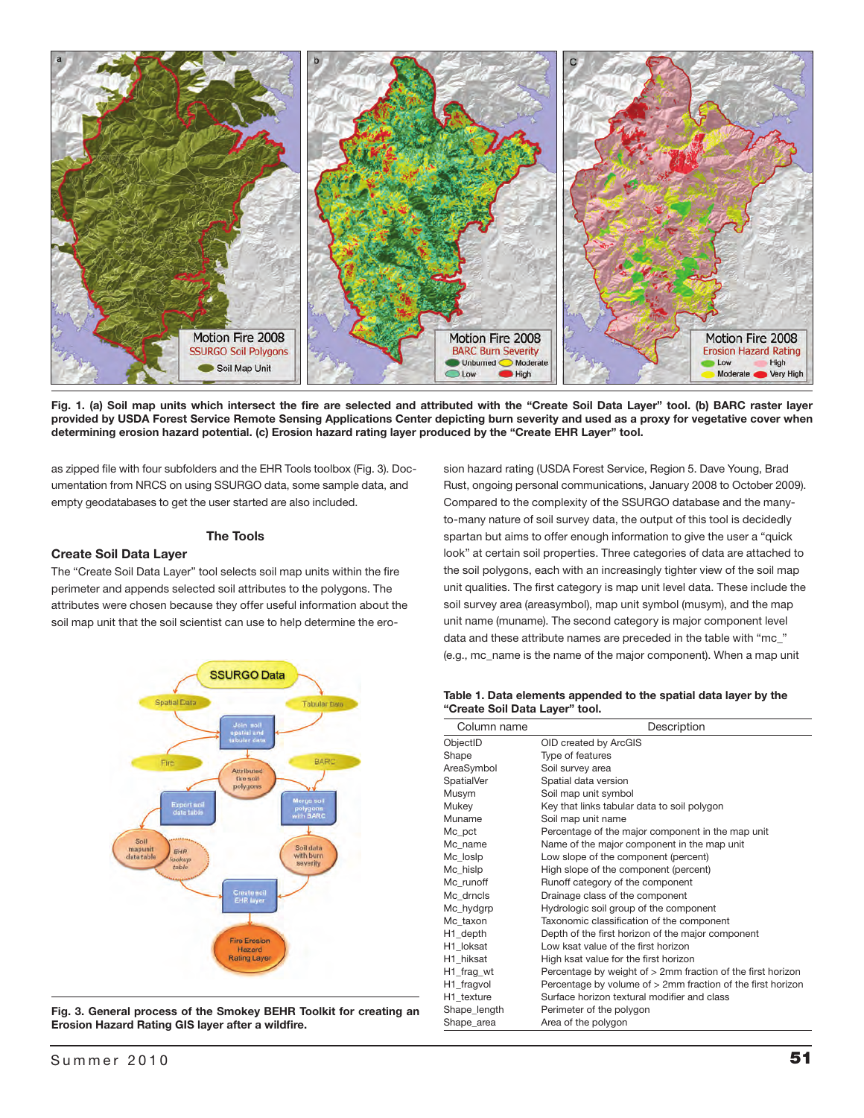

Fig. 1. (a) Soil map units which intersect the fire are selected and attributed with the "Create Soil Data Layer" tool. (b) BARC raster layer provided by USDA Forest Service Remote Sensing Applications Center depicting burn severity and used as a proxy for vegetative cover when determining erosion hazard potential. (c) Erosion hazard rating layer produced by the "Create EHR Layer" tool.

as zipped file with four subfolders and the EHR Tools toolbox (Fig. 3). Documentation from NRCS on using SSURGO data, some sample data, and empty geodatabases to get the user started are also included.

## The Tools

## Create Soil Data Layer

The "Create Soil Data Layer" tool selects soil map units within the fire perimeter and appends selected soil attributes to the polygons. The attributes were chosen because they offer useful information about the soil map unit that the soil scientist can use to help determine the ero-



Fig. 3. General process of the Smokey BEHR Toolkit for creating an Erosion Hazard Rating GIS layer after a wildfire.

sion hazard rating (USDA Forest Service, Region 5. Dave Young, Brad Rust, ongoing personal communications, January 2008 to October 2009). Compared to the complexity of the SSURGO database and the manyto-many nature of soil survey data, the output of this tool is decidedly spartan but aims to offer enough information to give the user a "quick look" at certain soil properties. Three categories of data are attached to the soil polygons, each with an increasingly tighter view of the soil map unit qualities. The first category is map unit level data. These include the soil survey area (areasymbol), map unit symbol (musym), and the map unit name (muname). The second category is major component level data and these attribute names are preceded in the table with "mc\_" (e.g., mc\_name is the name of the major component). When a map unit

| Table 1. Data elements appended to the spatial data layer by the |  |  |  |
|------------------------------------------------------------------|--|--|--|
| "Create Soil Data Layer" tool.                                   |  |  |  |

| Column name       | Description                                                   |
|-------------------|---------------------------------------------------------------|
| ObjectID          | OID created by ArcGIS                                         |
| Shape             | Type of features                                              |
| AreaSymbol        | Soil survey area                                              |
| <b>SpatialVer</b> | Spatial data version                                          |
| Musym             | Soil map unit symbol                                          |
| Mukey             | Key that links tabular data to soil polygon                   |
| Muname            | Soil map unit name                                            |
| Mc pct            | Percentage of the major component in the map unit             |
| Mc name           | Name of the major component in the map unit                   |
| Mc loslp          | Low slope of the component (percent)                          |
| Mc hislp          | High slope of the component (percent)                         |
| Mc runoff         | Runoff category of the component                              |
| Mc drncls         | Drainage class of the component                               |
| Mc_hydgrp         | Hydrologic soil group of the component                        |
| Mc taxon          | Taxonomic classification of the component                     |
| H1_depth          | Depth of the first horizon of the major component             |
| H1 loksat         | Low ksat value of the first horizon                           |
| H1 hiksat         | High ksat value for the first horizon                         |
| H1 frag wt        | Percentage by weight of $>2$ mm fraction of the first horizon |
| H1_fragvol        | Percentage by volume of > 2mm fraction of the first horizon   |
| H1 texture        | Surface horizon textural modifier and class                   |
| Shape_length      | Perimeter of the polygon                                      |
| Shape_area        | Area of the polygon                                           |